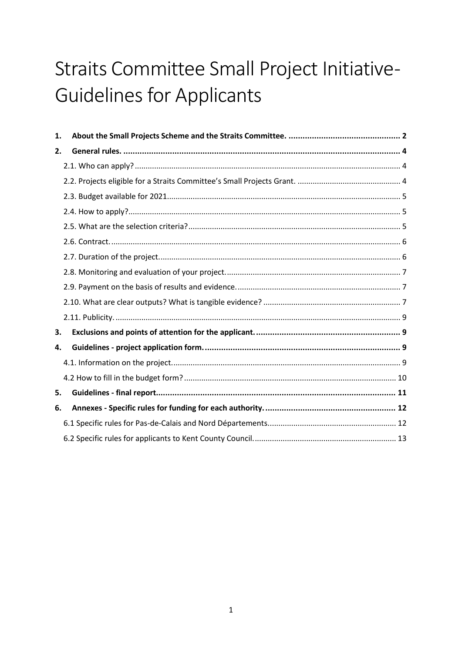# Straits Committee Small Project Initiative-**Guidelines for Applicants**

| 1. |  |
|----|--|
| 2. |  |
|    |  |
|    |  |
|    |  |
|    |  |
|    |  |
|    |  |
|    |  |
|    |  |
|    |  |
|    |  |
|    |  |
| 3. |  |
| 4. |  |
|    |  |
|    |  |
| 5. |  |
| 6. |  |
|    |  |
|    |  |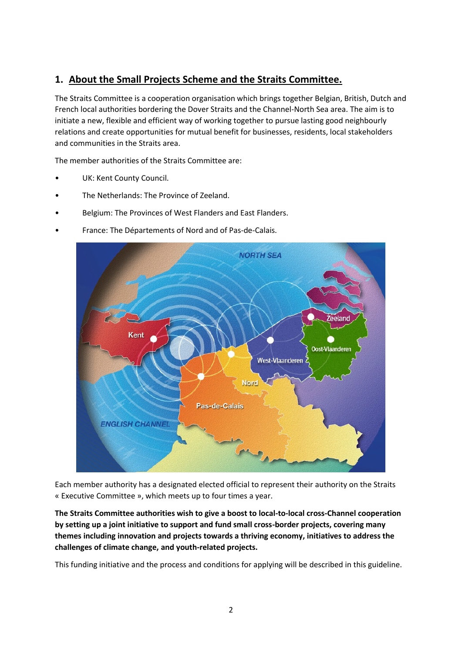# <span id="page-1-0"></span>**1. About the Small Projects Scheme and the Straits Committee.**

The Straits Committee is a cooperation organisation which brings together Belgian, British, Dutch and French local authorities bordering the Dover Straits and the Channel-North Sea area. The aim is to initiate a new, flexible and efficient way of working together to pursue lasting good neighbourly relations and create opportunities for mutual benefit for businesses, residents, local stakeholders and communities in the Straits area.

The member authorities of the Straits Committee are:

- UK: Kent County Council.
- The Netherlands: The Province of Zeeland.
- Belgium: The Provinces of West Flanders and East Flanders.
	- **NORTH SEA** Zeeland Kent Oost-Vlaanderen West-Vlaanderen & **Nord Pas-de-Calais ENGLISH CHANNEL**
- France: The Départements of Nord and of Pas-de-Calais.

Each member authority has a designated elected official to represent their authority on the Straits « Executive Committee », which meets up to four times a year.

**The Straits Committee authorities wish to give a boost to local-to-local cross-Channel cooperation by setting up a joint initiative to support and fund small cross-border projects, covering many themes including innovation and projects towards a thriving economy, initiatives to address the challenges of climate change, and youth-related projects.**

This funding initiative and the process and conditions for applying will be described in this guideline.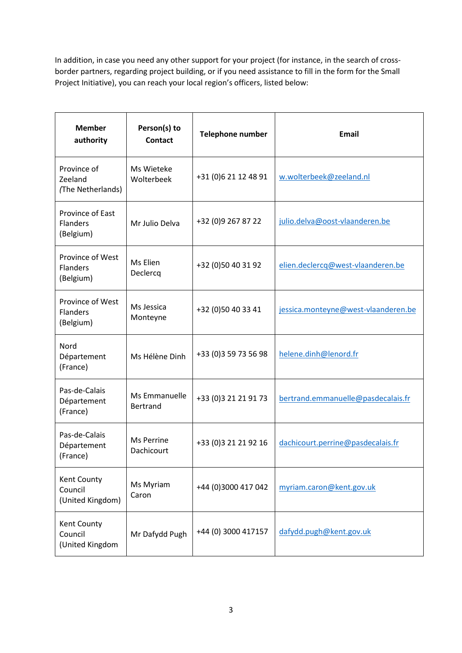In addition, in case you need any other support for your project (for instance, in the search of crossborder partners, regarding project building, or if you need assistance to fill in the form for the Small Project Initiative), you can reach your local region's officers, listed below:

| <b>Member</b><br>authority                       | Person(s) to<br><b>Contact</b>   | Telephone number      | <b>Email</b>                        |
|--------------------------------------------------|----------------------------------|-----------------------|-------------------------------------|
| Province of<br>Zeeland<br>(The Netherlands)      | Ms Wieteke<br>Wolterbeek         | +31 (0) 6 21 12 48 91 | w.wolterbeek@zeeland.nl             |
| Province of East<br>Flanders<br>(Belgium)        | Mr Julio Delva                   | +32 (0)9 267 87 22    | julio.delva@oost-vlaanderen.be      |
| Province of West<br><b>Flanders</b><br>(Belgium) | Ms Elien<br>Declercq             | +32 (0)50 40 31 92    | elien.declercq@west-vlaanderen.be   |
| Province of West<br>Flanders<br>(Belgium)        | Ms Jessica<br>Monteyne           | +32 (0)50 40 33 41    | jessica.monteyne@west-vlaanderen.be |
| Nord<br>Département<br>(France)                  | Ms Hélène Dinh                   | +33 (0) 3 59 73 56 98 | helene.dinh@lenord.fr               |
| Pas-de-Calais<br>Département<br>(France)         | Ms Emmanuelle<br><b>Bertrand</b> | +33 (0) 3 21 21 91 73 | bertrand.emmanuelle@pasdecalais.fr  |
| Pas-de-Calais<br>Département<br>(France)         | Ms Perrine<br>Dachicourt         | +33 (0)3 21 21 92 16  | dachicourt.perrine@pasdecalais.fr   |
| Kent County<br>Council<br>(United Kingdom)       | Ms Myriam<br>Caron               | +44 (0)3000 417 042   | myriam.caron@kent.gov.uk            |
| Kent County<br>Council<br>(United Kingdom        | Mr Dafydd Pugh                   | +44 (0) 3000 417157   | dafydd.pugh@kent.gov.uk             |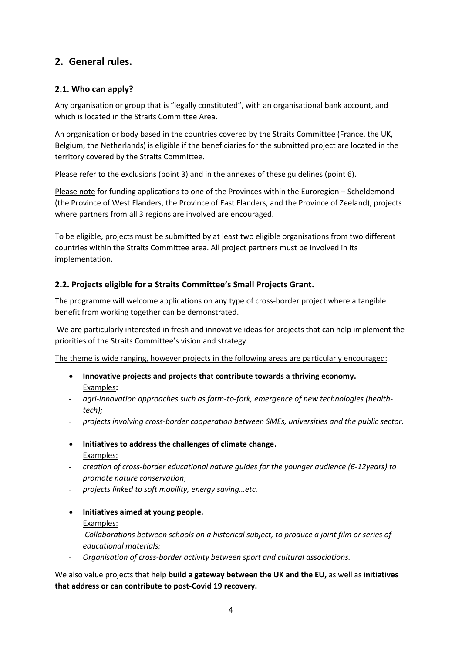# <span id="page-3-0"></span>**2. General rules.**

# <span id="page-3-1"></span>**2.1. Who can apply?**

Any organisation or group that is "legally constituted", with an organisational bank account, and which is located in the Straits Committee Area.

An organisation or body based in the countries covered by the Straits Committee (France, the UK, Belgium, the Netherlands) is eligible if the beneficiaries for the submitted project are located in the territory covered by the Straits Committee.

Please refer to the exclusions (point 3) and in the annexes of these guidelines (point 6).

Please note for funding applications to one of the Provinces within the Euroregion – Scheldemond (the Province of West Flanders, the Province of East Flanders, and the Province of Zeeland), projects where partners from all 3 regions are involved are encouraged.

To be eligible, projects must be submitted by at least two eligible organisations from two different countries within the Straits Committee area. All project partners must be involved in its implementation.

# <span id="page-3-2"></span>**2.2. Projects eligible for a Straits Committee's Small Projects Grant.**

The programme will welcome applications on any type of cross-border project where a tangible benefit from working together can be demonstrated.

We are particularly interested in fresh and innovative ideas for projects that can help implement the priorities of the Straits Committee's vision and strategy.

The theme is wide ranging, however projects in the following areas are particularly encouraged:

- **Innovative projects and projects that contribute towards a thriving economy.** Examples**:**
- *- agri-innovation approaches such as farm-to-fork, emergence of new technologies (healthtech);*
- *- projects involving cross-border cooperation between SMEs, universities and the public sector.*
- **Initiatives to address the challenges of climate change.** Examples:
- *- creation of cross-border educational nature guides for the younger audience (6-12years) to promote nature conservation*;
- *- projects linked to soft mobility, energy saving…etc.*
- **Initiatives aimed at young people.** Examples:
- *Collaborations between schools on a historical subject, to produce a joint film or series of educational materials;*
- *Organisation of cross-border activity between sport and cultural associations.*

We also value projects that help **build a gateway between the UK and the EU,** as well as **initiatives that address or can contribute to post-Covid 19 recovery.**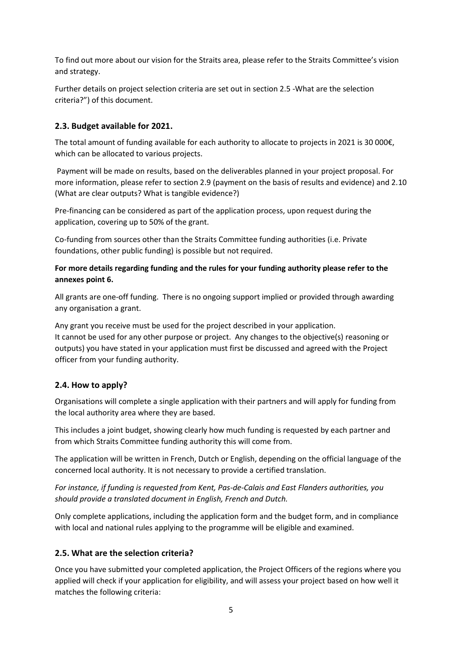To find out more about our vision for the Straits area, please refer to the Straits Committee's vision and strategy.

Further details on project selection criteria are set out in section 2.5 -What are the selection criteria?") of this document.

# <span id="page-4-0"></span>**2.3. Budget available for 2021.**

The total amount of funding available for each authority to allocate to projects in 2021 is 30 000€, which can be allocated to various projects.

Payment will be made on results, based on the deliverables planned in your project proposal. For more information, please refer to section 2.9 (payment on the basis of results and evidence) and 2.10 (What are clear outputs? What is tangible evidence?)

Pre-financing can be considered as part of the application process, upon request during the application, covering up to 50% of the grant.

Co-funding from sources other than the Straits Committee funding authorities (i.e. Private foundations, other public funding) is possible but not required.

#### **For more details regarding funding and the rules for your funding authority please refer to the annexes point 6.**

All grants are one-off funding. There is no ongoing support implied or provided through awarding any organisation a grant.

Any grant you receive must be used for the project described in your application. It cannot be used for any other purpose or project. Any changes to the objective(s) reasoning or outputs) you have stated in your application must first be discussed and agreed with the Project officer from your funding authority.

# <span id="page-4-1"></span>**2.4. How to apply?**

Organisations will complete a single application with their partners and will apply for funding from the local authority area where they are based.

This includes a joint budget, showing clearly how much funding is requested by each partner and from which Straits Committee funding authority this will come from.

The application will be written in French, Dutch or English, depending on the official language of the concerned local authority. It is not necessary to provide a certified translation.

*For instance, if funding is requested from Kent, Pas-de-Calais and East Flanders authorities, you should provide a translated document in English, French and Dutch.*

Only complete applications, including the application form and the budget form, and in compliance with local and national rules applying to the programme will be eligible and examined.

#### <span id="page-4-2"></span>**2.5. What are the selection criteria?**

Once you have submitted your completed application, the Project Officers of the regions where you applied will check if your application for eligibility, and will assess your project based on how well it matches the following criteria: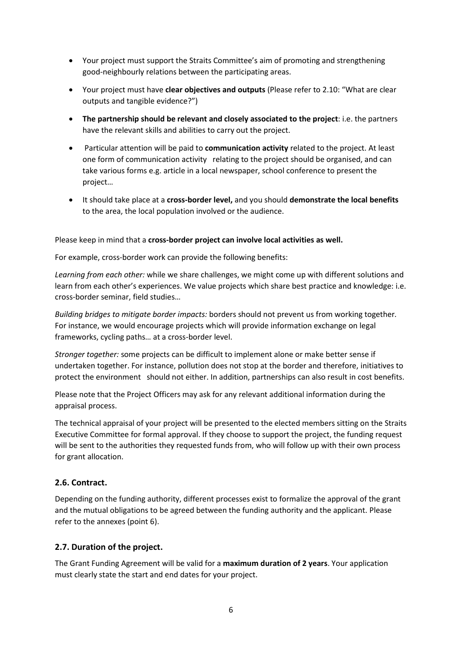- Your project must support the Straits Committee's aim of promoting and strengthening good-neighbourly relations between the participating areas.
- Your project must have **clear objectives and outputs** (Please refer to 2.10: "What are clear outputs and tangible evidence?")
- **The partnership should be relevant and closely associated to the project**: i.e. the partners have the relevant skills and abilities to carry out the project.
- Particular attention will be paid to **communication activity** related to the project. At least one form of communication activity relating to the project should be organised, and can take various forms e.g. article in a local newspaper, school conference to present the project…
- It should take place at a **cross-border level,** and you should **demonstrate the local benefits** to the area, the local population involved or the audience.

Please keep in mind that a **cross-border project can involve local activities as well.**

For example, cross-border work can provide the following benefits:

*Learning from each other:* while we share challenges, we might come up with different solutions and learn from each other's experiences. We value projects which share best practice and knowledge: i.e. cross-border seminar, field studies…

*Building bridges to mitigate border impacts:* borders should not prevent us from working together*.*  For instance, we would encourage projects which will provide information exchange on legal frameworks, cycling paths… at a cross-border level.

*Stronger together:* some projects can be difficult to implement alone or make better sense if undertaken together. For instance, pollution does not stop at the border and therefore, initiatives to protect the environment should not either. In addition, partnerships can also result in cost benefits.

Please note that the Project Officers may ask for any relevant additional information during the appraisal process.

The technical appraisal of your project will be presented to the elected members sitting on the Straits Executive Committee for formal approval. If they choose to support the project, the funding request will be sent to the authorities they requested funds from, who will follow up with their own process for grant allocation.

# <span id="page-5-0"></span>**2.6. Contract.**

Depending on the funding authority, different processes exist to formalize the approval of the grant and the mutual obligations to be agreed between the funding authority and the applicant. Please refer to the annexes (point 6).

#### <span id="page-5-1"></span>**2.7. Duration of the project.**

The Grant Funding Agreement will be valid for a **maximum duration of 2 years**. Your application must clearly state the start and end dates for your project.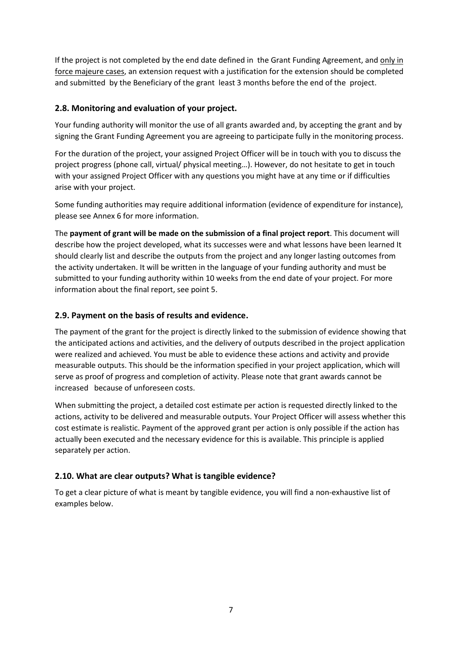If the project is not completed by the end date defined in the Grant Funding Agreement, and only in force majeure cases, an extension request with a justification for the extension should be completed and submitted by the Beneficiary of the grant least 3 months before the end of the project.

# <span id="page-6-0"></span>**2.8. Monitoring and evaluation of your project.**

Your funding authority will monitor the use of all grants awarded and, by accepting the grant and by signing the Grant Funding Agreement you are agreeing to participate fully in the monitoring process.

For the duration of the project, your assigned Project Officer will be in touch with you to discuss the project progress (phone call, virtual/ physical meeting…). However, do not hesitate to get in touch with your assigned Project Officer with any questions you might have at any time or if difficulties arise with your project.

Some funding authorities may require additional information (evidence of expenditure for instance), please see Annex 6 for more information.

The **payment of grant will be made on the submission of a final project report**. This document will describe how the project developed, what its successes were and what lessons have been learned It should clearly list and describe the outputs from the project and any longer lasting outcomes from the activity undertaken. It will be written in the language of your funding authority and must be submitted to your funding authority within 10 weeks from the end date of your project. For more information about the final report, see point 5.

# <span id="page-6-1"></span>**2.9. Payment on the basis of results and evidence.**

The payment of the grant for the project is directly linked to the submission of evidence showing that the anticipated actions and activities, and the delivery of outputs described in the project application were realized and achieved. You must be able to evidence these actions and activity and provide measurable outputs. This should be the information specified in your project application, which will serve as proof of progress and completion of activity. Please note that grant awards cannot be increased because of unforeseen costs.

When submitting the project, a detailed cost estimate per action is requested directly linked to the actions, activity to be delivered and measurable outputs. Your Project Officer will assess whether this cost estimate is realistic. Payment of the approved grant per action is only possible if the action has actually been executed and the necessary evidence for this is available. This principle is applied separately per action.

# <span id="page-6-2"></span>**2.10. What are clear outputs? What is tangible evidence?**

To get a clear picture of what is meant by tangible evidence, you will find a non-exhaustive list of examples below.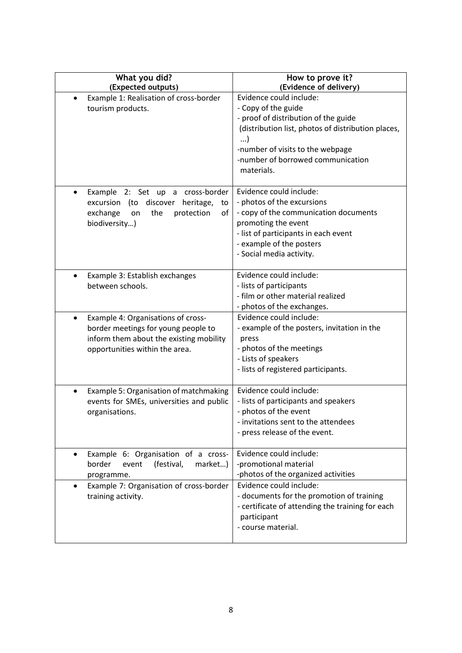| What you did?<br>(Expected outputs)                                                                                                                                  | How to prove it?<br>(Evidence of delivery)                                                                                                                                                                                                      |
|----------------------------------------------------------------------------------------------------------------------------------------------------------------------|-------------------------------------------------------------------------------------------------------------------------------------------------------------------------------------------------------------------------------------------------|
| Example 1: Realisation of cross-border<br>tourism products.                                                                                                          | Evidence could include:<br>- Copy of the guide<br>- proof of distribution of the guide<br>(distribution list, photos of distribution places,<br>$\ldots$<br>-number of visits to the webpage<br>-number of borrowed communication<br>materials. |
| cross-border<br>Example<br>2: Set up<br>a<br>$\bullet$<br>excursion (to<br>discover<br>heritage,<br>to<br>оf<br>exchange<br>the<br>protection<br>on<br>biodiversity) | Evidence could include:<br>- photos of the excursions<br>- copy of the communication documents<br>promoting the event<br>- list of participants in each event<br>- example of the posters<br>- Social media activity.                           |
| Example 3: Establish exchanges<br>$\bullet$<br>between schools.                                                                                                      | Evidence could include:<br>- lists of participants<br>- film or other material realized<br>- photos of the exchanges.                                                                                                                           |
| Example 4: Organisations of cross-<br>$\bullet$<br>border meetings for young people to<br>inform them about the existing mobility<br>opportunities within the area.  | Evidence could include:<br>- example of the posters, invitation in the<br>press<br>- photos of the meetings<br>- Lists of speakers<br>- lists of registered participants.                                                                       |
| Example 5: Organisation of matchmaking<br>$\bullet$<br>events for SMEs, universities and public<br>organisations.                                                    | Evidence could include:<br>- lists of participants and speakers<br>- photos of the event<br>- invitations sent to the attendees<br>- press release of the event.                                                                                |
| Example 6: Organisation of a cross-<br>$\bullet$<br>border<br>(festival,<br>event<br>market)<br>programme.                                                           | Evidence could include:<br>-promotional material<br>-photos of the organized activities                                                                                                                                                         |
| Example 7: Organisation of cross-border<br>$\bullet$<br>training activity.                                                                                           | Evidence could include:<br>- documents for the promotion of training<br>- certificate of attending the training for each<br>participant<br>- course material.                                                                                   |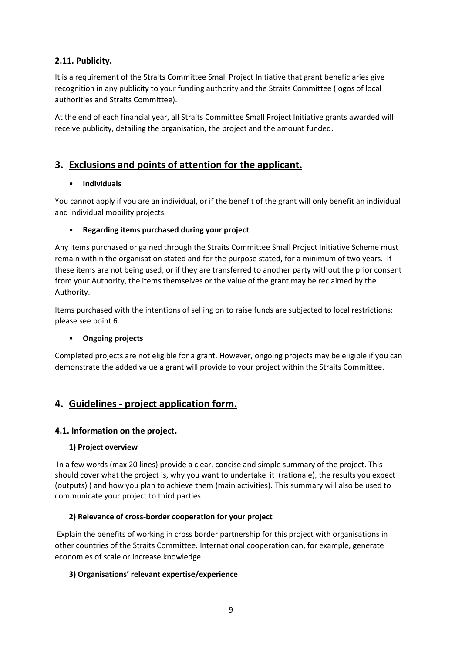# <span id="page-8-0"></span>**2.11. Publicity.**

It is a requirement of the Straits Committee Small Project Initiative that grant beneficiaries give recognition in any publicity to your funding authority and the Straits Committee (logos of local authorities and Straits Committee).

At the end of each financial year, all Straits Committee Small Project Initiative grants awarded will receive publicity, detailing the organisation, the project and the amount funded.

# <span id="page-8-1"></span>**3. Exclusions and points of attention for the applicant.**

# • **Individuals**

You cannot apply if you are an individual, or if the benefit of the grant will only benefit an individual and individual mobility projects.

# • **Regarding items purchased during your project**

Any items purchased or gained through the Straits Committee Small Project Initiative Scheme must remain within the organisation stated and for the purpose stated, for a minimum of two years. If these items are not being used, or if they are transferred to another party without the prior consent from your Authority, the items themselves or the value of the grant may be reclaimed by the Authority.

Items purchased with the intentions of selling on to raise funds are subjected to local restrictions: please see point 6.

#### • **Ongoing projects**

Completed projects are not eligible for a grant. However, ongoing projects may be eligible if you can demonstrate the added value a grant will provide to your project within the Straits Committee.

# <span id="page-8-2"></span>**4. Guidelines - project application form.**

# <span id="page-8-3"></span>**4.1. Information on the project.**

#### **1) Project overview**

In a few words (max 20 lines) provide a clear, concise and simple summary of the project. This should cover what the project is, why you want to undertake it (rationale), the results you expect (outputs) ) and how you plan to achieve them (main activities). This summary will also be used to communicate your project to third parties.

# **2) Relevance of cross-border cooperation for your project**

Explain the benefits of working in cross border partnership for this project with organisations in other countries of the Straits Committee. International cooperation can, for example, generate economies of scale or increase knowledge.

#### **3) Organisations' relevant expertise/experience**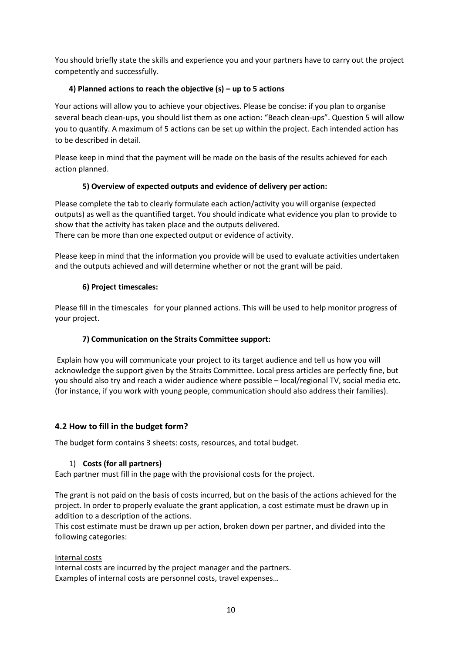You should briefly state the skills and experience you and your partners have to carry out the project competently and successfully.

# **4) Planned actions to reach the objective (s) – up to 5 actions**

Your actions will allow you to achieve your objectives. Please be concise: if you plan to organise several beach clean-ups, you should list them as one action: "Beach clean-ups". Question 5 will allow you to quantify. A maximum of 5 actions can be set up within the project. Each intended action has to be described in detail.

Please keep in mind that the payment will be made on the basis of the results achieved for each action planned.

# **5) Overview of expected outputs and evidence of delivery per action:**

Please complete the tab to clearly formulate each action/activity you will organise (expected outputs) as well as the quantified target. You should indicate what evidence you plan to provide to show that the activity has taken place and the outputs delivered.

There can be more than one expected output or evidence of activity.

Please keep in mind that the information you provide will be used to evaluate activities undertaken and the outputs achieved and will determine whether or not the grant will be paid.

#### **6) Project timescales:**

Please fill in the timescales for your planned actions. This will be used to help monitor progress of your project.

#### **7) Communication on the Straits Committee support:**

Explain how you will communicate your project to its target audience and tell us how you will acknowledge the support given by the Straits Committee. Local press articles are perfectly fine, but you should also try and reach a wider audience where possible – local/regional TV, social media etc. (for instance, if you work with young people, communication should also address their families).

# <span id="page-9-0"></span>**4.2 How to fill in the budget form?**

The budget form contains 3 sheets: costs, resources, and total budget.

#### 1) **Costs (for all partners)**

Each partner must fill in the page with the provisional costs for the project.

The grant is not paid on the basis of costs incurred, but on the basis of the actions achieved for the project. In order to properly evaluate the grant application, a cost estimate must be drawn up in addition to a description of the actions.

This cost estimate must be drawn up per action, broken down per partner, and divided into the following categories:

#### Internal costs

Internal costs are incurred by the project manager and the partners. Examples of internal costs are personnel costs, travel expenses…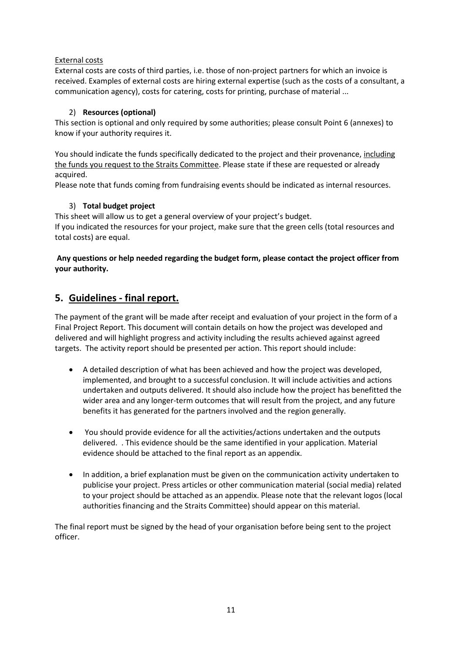#### External costs

External costs are costs of third parties, i.e. those of non-project partners for which an invoice is received. Examples of external costs are hiring external expertise (such as the costs of a consultant, a communication agency), costs for catering, costs for printing, purchase of material ...

# 2) **Resources (optional)**

This section is optional and only required by some authorities; please consult Point 6 (annexes) to know if your authority requires it.

You should indicate the funds specifically dedicated to the project and their provenance, including the funds you request to the Straits Committee. Please state if these are requested or already acquired.

Please note that funds coming from fundraising events should be indicated as internal resources.

# 3) **Total budget project**

This sheet will allow us to get a general overview of your project's budget. If you indicated the resources for your project, make sure that the green cells (total resources and total costs) are equal.

#### **Any questions or help needed regarding the budget form, please contact the project officer from your authority.**

# <span id="page-10-0"></span>**5. Guidelines - final report.**

The payment of the grant will be made after receipt and evaluation of your project in the form of a Final Project Report. This document will contain details on how the project was developed and delivered and will highlight progress and activity including the results achieved against agreed targets. The activity report should be presented per action. This report should include:

- A detailed description of what has been achieved and how the project was developed, implemented, and brought to a successful conclusion. It will include activities and actions undertaken and outputs delivered. It should also include how the project has benefitted the wider area and any longer-term outcomes that will result from the project, and any future benefits it has generated for the partners involved and the region generally.
- You should provide evidence for all the activities/actions undertaken and the outputs delivered. . This evidence should be the same identified in your application. Material evidence should be attached to the final report as an appendix.
- In addition, a brief explanation must be given on the communication activity undertaken to publicise your project. Press articles or other communication material (social media) related to your project should be attached as an appendix. Please note that the relevant logos (local authorities financing and the Straits Committee) should appear on this material.

The final report must be signed by the head of your organisation before being sent to the project officer.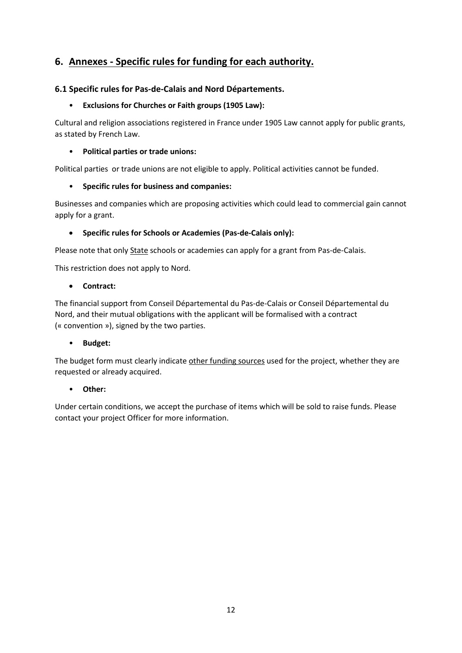# <span id="page-11-0"></span>**6. Annexes - Specific rules for funding for each authority.**

# <span id="page-11-1"></span>**6.1 Specific rules for Pas-de-Calais and Nord Départements.**

#### • **Exclusions for Churches or Faith groups (1905 Law):**

Cultural and religion associations registered in France under 1905 Law cannot apply for public grants, as stated by French Law.

#### • **Political parties or trade unions:**

Political parties or trade unions are not eligible to apply. Political activities cannot be funded.

# • **Specific rules for business and companies:**

Businesses and companies which are proposing activities which could lead to commercial gain cannot apply for a grant.

# • **Specific rules for Schools or Academies (Pas-de-Calais only):**

Please note that only State schools or academies can apply for a grant from Pas-de-Calais.

This restriction does not apply to Nord.

#### • **Contract:**

The financial support from Conseil Départemental du Pas-de-Calais or Conseil Départemental du Nord, and their mutual obligations with the applicant will be formalised with a contract (« convention »), signed by the two parties.

#### • **Budget:**

The budget form must clearly indicate other funding sources used for the project, whether they are requested or already acquired.

#### • **Other:**

Under certain conditions, we accept the purchase of items which will be sold to raise funds. Please contact your project Officer for more information.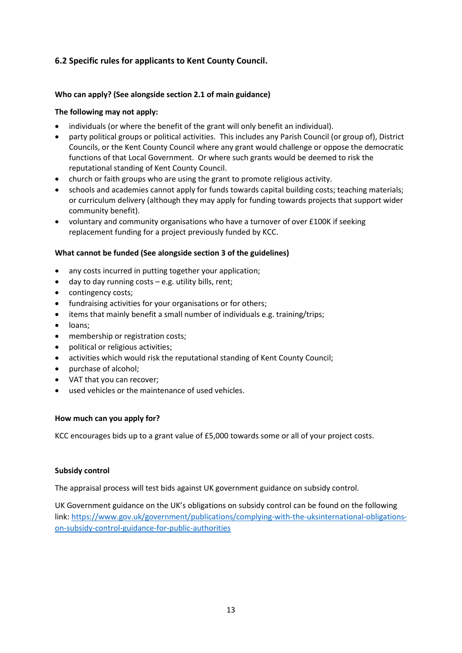# <span id="page-12-0"></span>**6.2 Specific rules for applicants to Kent County Council.**

#### **Who can apply? (See alongside section 2.1 of main guidance)**

#### **The following may not apply:**

- individuals (or where the benefit of the grant will only benefit an individual).
- party political groups or political activities. This includes any Parish Council (or group of), District Councils, or the Kent County Council where any grant would challenge or oppose the democratic functions of that Local Government. Or where such grants would be deemed to risk the reputational standing of Kent County Council.
- church or faith groups who are using the grant to promote religious activity.
- schools and academies cannot apply for funds towards capital building costs; teaching materials; or curriculum delivery (although they may apply for funding towards projects that support wider community benefit).
- voluntary and community organisations who have a turnover of over £100K if seeking replacement funding for a project previously funded by KCC.

#### **What cannot be funded (See alongside section 3 of the guidelines)**

- any costs incurred in putting together your application;
- $\bullet$  day to day running costs e.g. utility bills, rent;
- contingency costs;
- fundraising activities for your organisations or for others;
- items that mainly benefit a small number of individuals e.g. training/trips;
- loans;
- membership or registration costs;
- political or religious activities;
- activities which would risk the reputational standing of Kent County Council;
- purchase of alcohol;
- VAT that you can recover;
- used vehicles or the maintenance of used vehicles.

#### **How much can you apply for?**

KCC encourages bids up to a grant value of £5,000 towards some or all of your project costs.

#### **Subsidy control**

The appraisal process will test bids against UK government guidance on subsidy control.

UK Government guidance on the UK's obligations on subsidy control can be found on the following link: [https://www.gov.uk/government/publications/complying-with-the-uksinternational-obligations](https://www.gov.uk/government/publications/complying-with-the-uksinternational-obligations-on-subsidy-control-guidance-for-public-authorities)[on-subsidy-control-guidance-for-public-authorities](https://www.gov.uk/government/publications/complying-with-the-uksinternational-obligations-on-subsidy-control-guidance-for-public-authorities)